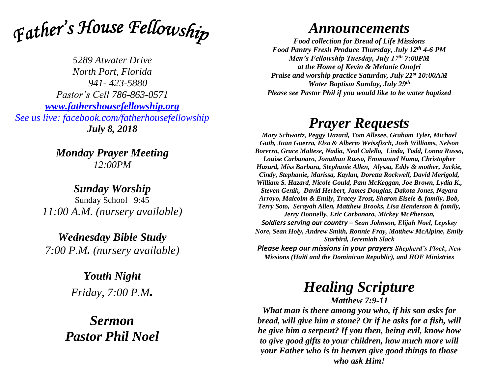

*5289 Atwater Drive North Port, Florida 941- 423-5880 Pastor's Cell 786-863-0571 [www.fathershousefellowship.org](http://www.fathershousefellowship.org/) See us live: facebook.com/fatherhousefellowship July 8, 2018*

> *Monday Prayer Meeting 12:00PM*

*Sunday Worship* Sunday School 9:45 *11:00 A.M. (nursery available)*

*Wednesday Bible Study 7:00 P.M. (nursery available)*

> *Youth Night Friday, 7:00 P.M.*

*Sermon Pastor Phil Noel*

## *Announcements*

*Food collection for Bread of Life Missions Food Pantry Fresh Produce Thursday, July 12th 4-6 PM Men's Fellowship Tuesday, July 17th 7:00PM at the Home of Kevin & Melanie Onofri Praise and worship practice Saturday, July 21st 10:00AM Water Baptism Sunday, July 29th Please see Pastor Phil if you would like to be water baptized*

## *Prayer Requests*

*Mary Schwartz, Peggy Hazard, Tom Allesee, Graham Tyler, Michael Guth, Juan Guerra, Elsa & Alberto Weissfisch, Josh Williams, Nelson Borerro, Grace Maltese, Nadia, Neal Calello, Linda, Todd, Lonna Russo, Louise Carbanaro, Jonathan Russo, Emmanuel Numa, Christopher Hazard, Miss Barbara, Stephanie Allen, Alyssa, Eddy & mother, Jackie, Cindy, Stephanie, Marissa, Kaylan, Doretta Rockwell, David Merigold, William S. Hazard, Nicole Gould, Pam McKeggan, Joe Brown, Lydia K., Steven Genik, David Herbert, James Douglas, Dakota Jones, Nayara Arroyo, Malcolm & Emily, Tracey Trost, Sharon Eisele & family, Bob, Terry Soto, Serayah Allen, Matthew Brooks, Lisa Henderson & family, Jerry Donnelly, Eric Carbanaro, Mickey McPherson, Soldiers serving our country – Sean Johnson, Elijah Noel, Lepskey Nore, Sean Holy, Andrew Smith, Ronnie Fray, Matthew McAlpine, Emily Starbird, Jeremiah Slack Please keep our missions in your prayers Shepherd's Flock, New* 

*Missions (Haiti and the Dominican Republic), and HOE Ministries*

## *Healing Scripture*

*Matthew 7:9-11*

*What man is there among you who, if his son asks for bread, will give him a stone? Or if he asks for a fish, will he give him a serpent? If you then, being evil, know how to give good gifts to your children, how much more will your Father who is in heaven give good things to those who ask Him!*